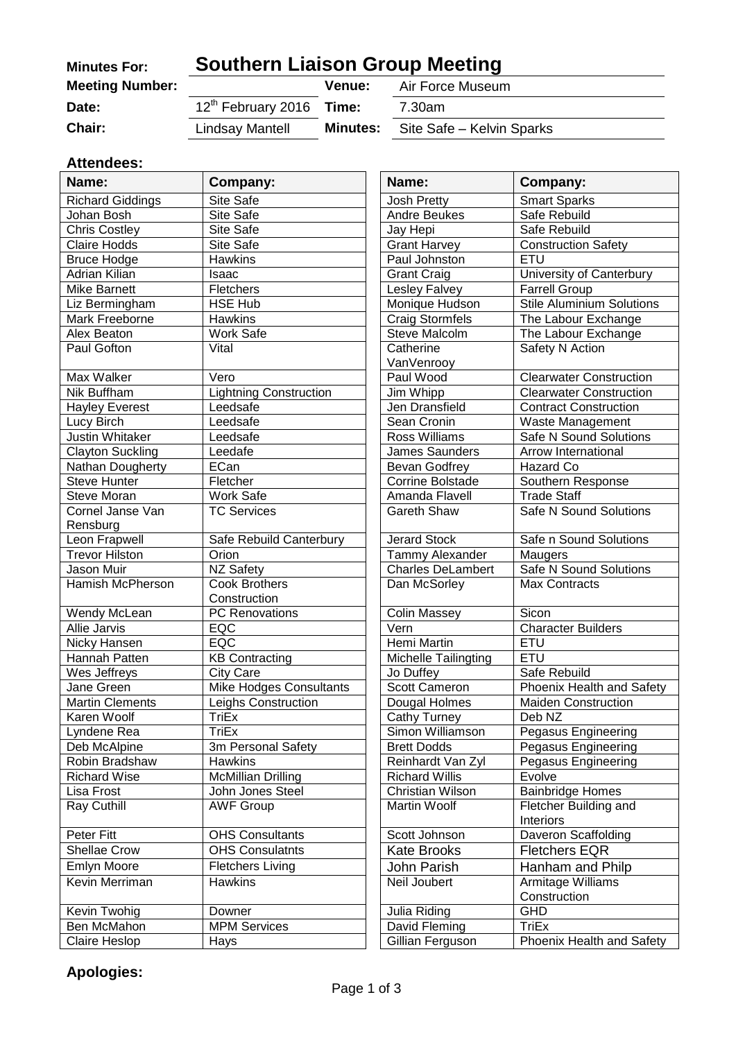| <b>Minutes For:</b>    | <b>Southern Liaison Group Meeting</b> |                 |                           |
|------------------------|---------------------------------------|-----------------|---------------------------|
| <b>Meeting Number:</b> |                                       | Venue:          | Air Force Museum          |
| Date:                  | 12 <sup>th</sup> February 2016 Time:  |                 | 7.30am                    |
| <b>Chair:</b>          | Lindsay Mantell                       | <b>Minutes:</b> | Site Safe - Kelvin Sparks |

#### **Attendees:**

| Name:                        | Company:                       | Name:                    | Company:                           |
|------------------------------|--------------------------------|--------------------------|------------------------------------|
| <b>Richard Giddings</b>      | Site Safe                      | <b>Josh Pretty</b>       | <b>Smart Sparks</b>                |
| Johan Bosh                   | Site Safe                      | <b>Andre Beukes</b>      | Safe Rebuild                       |
| <b>Chris Costley</b>         | Site Safe                      | Jay Hepi                 | Safe Rebuild                       |
| <b>Claire Hodds</b>          | Site Safe                      | <b>Grant Harvey</b>      | <b>Construction Safety</b>         |
| <b>Bruce Hodge</b>           | <b>Hawkins</b>                 | Paul Johnston            | <b>ETU</b>                         |
| Adrian Kilian                | Isaac                          | <b>Grant Craig</b>       | University of Canterbury           |
| <b>Mike Barnett</b>          | Fletchers                      | Lesley Falvey            | <b>Farrell Group</b>               |
| Liz Bermingham               | <b>HSE Hub</b>                 | Monique Hudson           | <b>Stile Aluminium Solutions</b>   |
| Mark Freeborne               | <b>Hawkins</b>                 | <b>Craig Stormfels</b>   | The Labour Exchange                |
| Alex Beaton                  | Work Safe                      | <b>Steve Malcolm</b>     | The Labour Exchange                |
| Paul Gofton                  | Vital                          | Catherine                | Safety N Action                    |
|                              |                                | VanVenrooy               |                                    |
| Max Walker                   | Vero                           | Paul Wood                | <b>Clearwater Construction</b>     |
| Nik Buffham                  | <b>Lightning Construction</b>  | Jim Whipp                | <b>Clearwater Construction</b>     |
| <b>Hayley Everest</b>        | Leedsafe                       | Jen Dransfield           | <b>Contract Construction</b>       |
| Lucy Birch                   | Leedsafe                       | Sean Cronin              | Waste Management                   |
| <b>Justin Whitaker</b>       | Leedsafe                       | Ross Williams            | Safe N Sound Solutions             |
| <b>Clayton Suckling</b>      | Leedafe                        | James Saunders           | Arrow International                |
| Nathan Dougherty             | ECan                           | <b>Bevan Godfrey</b>     | Hazard Co                          |
| <b>Steve Hunter</b>          | Fletcher                       | Corrine Bolstade         | Southern Response                  |
| Steve Moran                  | Work Safe                      | Amanda Flavell           | <b>Trade Staff</b>                 |
| Cornel Janse Van<br>Rensburg | <b>TC Services</b>             | <b>Gareth Shaw</b>       | Safe N Sound Solutions             |
| Leon Frapwell                | Safe Rebuild Canterbury        | <b>Jerard Stock</b>      | Safe n Sound Solutions             |
| <b>Trevor Hilston</b>        | Orion                          | Tammy Alexander          | Maugers                            |
| Jason Muir                   | NZ Safety                      | <b>Charles DeLambert</b> | <b>Safe N Sound Solutions</b>      |
| Hamish McPherson             | <b>Cook Brothers</b>           | Dan McSorley             | <b>Max Contracts</b>               |
|                              | Construction                   |                          |                                    |
| Wendy McLean                 | <b>PC</b> Renovations          | <b>Colin Massey</b>      | Sicon                              |
| Allie Jarvis                 | EQC                            | Vern                     | <b>Character Builders</b>          |
| Nicky Hansen                 | EQC                            | <b>Hemi Martin</b>       | ETU<br>ETU                         |
| Hannah Patten                | <b>KB Contracting</b>          | Michelle Tailingting     |                                    |
| Wes Jeffreys                 | City Care                      | Jo Duffey                | Safe Rebuild                       |
| Jane Green                   | <b>Mike Hodges Consultants</b> | <b>Scott Cameron</b>     | Phoenix Health and Safety          |
| <b>Martin Clements</b>       | Leighs Construction<br>TriEx   | Dougal Holmes            | <b>Maiden Construction</b>         |
| Karen Woolf                  |                                | <b>Cathy Turney</b>      | Deb NZ                             |
| Lyndene Rea                  | TriEx                          | Simon Williamson         | Pegasus Engineering                |
| Deb McAlpine                 | 3m Personal Safety             | <b>Brett Dodds</b>       | <b>Pegasus Engineering</b>         |
| Robin Bradshaw               | Hawkins                        | Reinhardt Van Zyl        | Pegasus Engineering                |
| <b>Richard Wise</b>          | <b>McMillian Drilling</b>      | <b>Richard Willis</b>    | Evolve                             |
| Lisa Frost                   | John Jones Steel               | Christian Wilson         | <b>Bainbridge Homes</b>            |
| Ray Cuthill                  | <b>AWF Group</b>               | Martin Woolf             | Fletcher Building and<br>Interiors |
| Peter Fitt                   | <b>OHS Consultants</b>         | Scott Johnson            | Daveron Scaffolding                |
| <b>Shellae Crow</b>          | <b>OHS Consulatnts</b>         | <b>Kate Brooks</b>       | <b>Fletchers EQR</b>               |
| <b>Emlyn Moore</b>           | <b>Fletchers Living</b>        | John Parish              | Hanham and Philp                   |
| <b>Kevin Merriman</b>        | <b>Hawkins</b>                 | Neil Joubert             | <b>Armitage Williams</b>           |
|                              |                                |                          | Construction                       |
| Kevin Twohig                 | Downer                         | Julia Riding             | <b>GHD</b>                         |
| Ben McMahon                  | <b>MPM Services</b>            | David Fleming            | <b>TriEx</b>                       |
| <b>Claire Heslop</b>         | Hays                           | Gillian Ferguson         | Phoenix Health and Safety          |

# **Apologies:**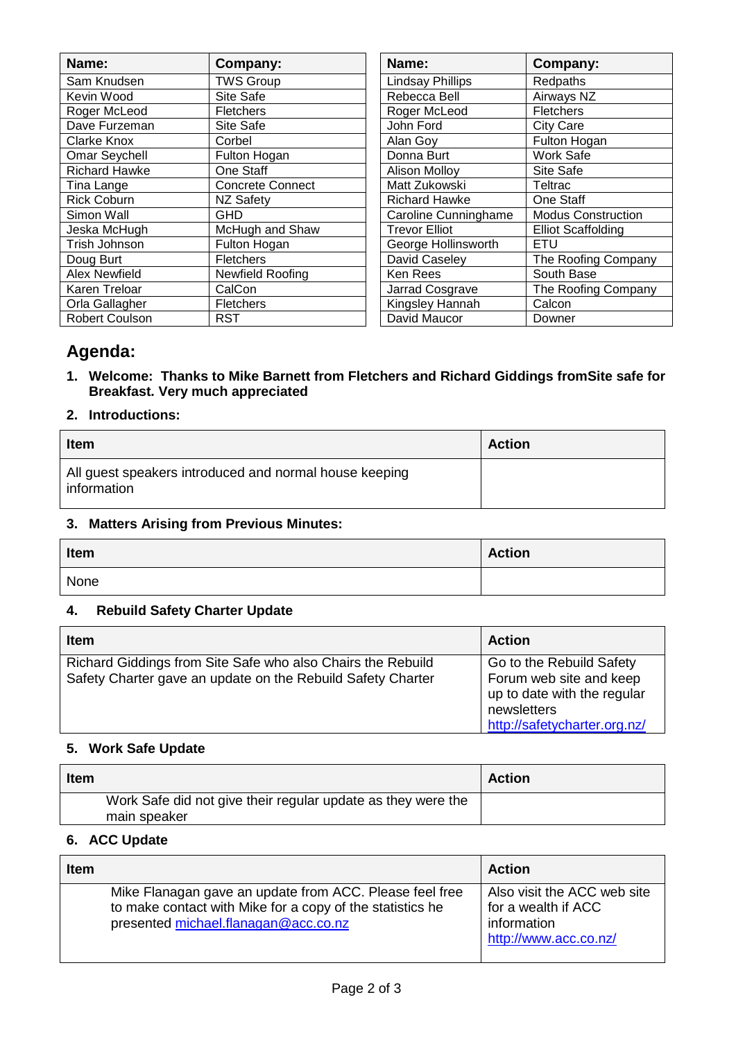| Name:                | Company:                | Name:                   | Company:                  |
|----------------------|-------------------------|-------------------------|---------------------------|
| Sam Knudsen          | <b>TWS Group</b>        | <b>Lindsay Phillips</b> | Redpaths                  |
| Kevin Wood           | Site Safe               | Rebecca Bell            | Airways NZ                |
| Roger McLeod         | <b>Fletchers</b>        | Roger McLeod            | <b>Fletchers</b>          |
| Dave Furzeman        | Site Safe               | John Ford               | <b>City Care</b>          |
| <b>Clarke Knox</b>   | Corbel                  | Alan Goy                | Fulton Hogan              |
| <b>Omar Seychell</b> | Fulton Hogan            | Donna Burt              | Work Safe                 |
| <b>Richard Hawke</b> | One Staff               | <b>Alison Molloy</b>    | Site Safe                 |
| Tina Lange           | <b>Concrete Connect</b> | Matt Zukowski           | Teltrac                   |
| <b>Rick Coburn</b>   | NZ Safety               | <b>Richard Hawke</b>    | One Staff                 |
| Simon Wall           | GHD.                    | Caroline Cunninghame    | <b>Modus Construction</b> |
| Jeska McHugh         | McHugh and Shaw         | <b>Trevor Elliot</b>    | <b>Elliot Scaffolding</b> |
| Trish Johnson        | Fulton Hogan            | George Hollinsworth     | ETU                       |
| Doug Burt            | Fletchers               | David Caseley           | The Roofing Company       |
| <b>Alex Newfield</b> | Newfield Roofing        | Ken Rees                | South Base                |
| Karen Treloar        | CalCon                  | Jarrad Cosgrave         | The Roofing Company       |
| Orla Gallagher       | <b>Fletchers</b>        | Kingsley Hannah         | Calcon                    |
| Robert Coulson       | RST                     | David Maucor            | Downer                    |

| Name:                   | Company:                  |
|-------------------------|---------------------------|
| <b>Lindsay Phillips</b> | Redpaths                  |
| Rebecca Bell            | Airways NZ                |
| Roger McLeod            | <b>Fletchers</b>          |
| John Ford               | <b>City Care</b>          |
| Alan Goy                | Fulton Hogan              |
| Donna Burt              | Work Safe                 |
| <b>Alison Molloy</b>    | Site Safe                 |
| Matt Zukowski           | Teltrac                   |
| <b>Richard Hawke</b>    | One Staff                 |
| Caroline Cunninghame    | <b>Modus Construction</b> |
| <b>Trevor Elliot</b>    | <b>Elliot Scaffolding</b> |
| George Hollinsworth     | ETU                       |
| David Caseley           | The Roofing Company       |
| Ken Rees                | South Base                |
| Jarrad Cosgrave         | The Roofing Company       |
| Kingsley Hannah         | Calcon                    |
| David Maucor            | Downer                    |

# **Agenda:**

**1. Welcome: Thanks to Mike Barnett from Fletchers and Richard Giddings fromSite safe for Breakfast. Very much appreciated**

# **2. Introductions:**

| <b>Item</b>                                                           | <b>Action</b> |
|-----------------------------------------------------------------------|---------------|
| All guest speakers introduced and normal house keeping<br>information |               |

#### **3. Matters Arising from Previous Minutes:**

| Item | <b>Action</b> |
|------|---------------|
| None |               |

#### **4. Rebuild Safety Charter Update**

| <b>Item</b>                                                                                                                | <b>Action</b>                                                                                                                     |
|----------------------------------------------------------------------------------------------------------------------------|-----------------------------------------------------------------------------------------------------------------------------------|
| Richard Giddings from Site Safe who also Chairs the Rebuild<br>Safety Charter gave an update on the Rebuild Safety Charter | Go to the Rebuild Safety<br>Forum web site and keep<br>up to date with the regular<br>newsletters<br>http://safetycharter.org.nz/ |

# **5. Work Safe Update**

| <b>Item</b> |                                                                              | <b>Action</b> |
|-------------|------------------------------------------------------------------------------|---------------|
|             | Work Safe did not give their regular update as they were the<br>main speaker |               |

#### **6. ACC Update**

| <b>Item</b> |                                                                                                                                                              | <b>Action</b>                                                                              |
|-------------|--------------------------------------------------------------------------------------------------------------------------------------------------------------|--------------------------------------------------------------------------------------------|
|             | Mike Flanagan gave an update from ACC. Please feel free<br>to make contact with Mike for a copy of the statistics he<br>presented michael.flanagan@acc.co.nz | Also visit the ACC web site<br>for a wealth if ACC<br>information<br>http://www.acc.co.nz/ |